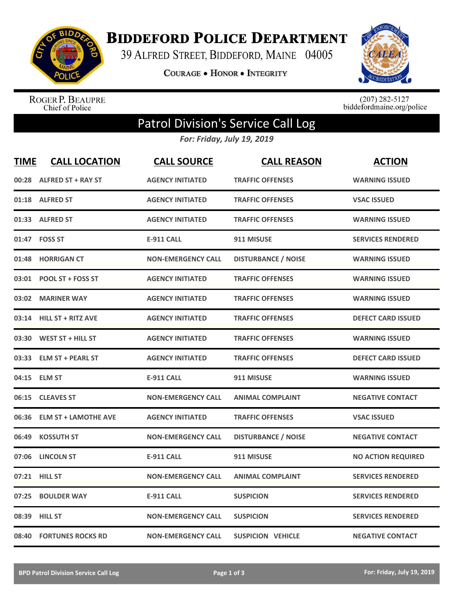

**BIDDEFORD POLICE DEPARTMENT** 

39 ALFRED STREET, BIDDEFORD, MAINE 04005

COURAGE . HONOR . INTEGRITY



ROGER P. BEAUPRE<br>Chief of Police

 $(207)$  282-5127<br>biddefordmaine.org/police

## Patrol Division's Service Call Log

*For: Friday, July 19, 2019*

| <u>TIME</u> | <b>CALL LOCATION</b>        | <b>CALL SOURCE</b>        | <b>CALL REASON</b>         | <b>ACTION</b>             |
|-------------|-----------------------------|---------------------------|----------------------------|---------------------------|
| 00:28       | <b>ALFRED ST + RAY ST</b>   | <b>AGENCY INITIATED</b>   | <b>TRAFFIC OFFENSES</b>    | <b>WARNING ISSUED</b>     |
| 01:18       | <b>ALFRED ST</b>            | <b>AGENCY INITIATED</b>   | <b>TRAFFIC OFFENSES</b>    | <b>VSAC ISSUED</b>        |
| 01:33       | <b>ALFRED ST</b>            | <b>AGENCY INITIATED</b>   | <b>TRAFFIC OFFENSES</b>    | <b>WARNING ISSUED</b>     |
| 01:47       | <b>FOSS ST</b>              | <b>E-911 CALL</b>         | 911 MISUSE                 | <b>SERVICES RENDERED</b>  |
| 01:48       | <b>HORRIGAN CT</b>          | <b>NON-EMERGENCY CALL</b> | <b>DISTURBANCE / NOISE</b> | <b>WARNING ISSUED</b>     |
| 03:01       | POOL ST + FOSS ST           | <b>AGENCY INITIATED</b>   | <b>TRAFFIC OFFENSES</b>    | <b>WARNING ISSUED</b>     |
| 03:02       | <b>MARINER WAY</b>          | <b>AGENCY INITIATED</b>   | <b>TRAFFIC OFFENSES</b>    | <b>WARNING ISSUED</b>     |
| 03:14       | <b>HILL ST + RITZ AVE</b>   | <b>AGENCY INITIATED</b>   | <b>TRAFFIC OFFENSES</b>    | <b>DEFECT CARD ISSUED</b> |
| 03:30       | WEST ST + HILL ST           | <b>AGENCY INITIATED</b>   | <b>TRAFFIC OFFENSES</b>    | <b>WARNING ISSUED</b>     |
|             | 03:33 ELM ST + PEARL ST     | <b>AGENCY INITIATED</b>   | <b>TRAFFIC OFFENSES</b>    | <b>DEFECT CARD ISSUED</b> |
| 04:15       | <b>ELM ST</b>               | <b>E-911 CALL</b>         | 911 MISUSE                 | <b>WARNING ISSUED</b>     |
| 06:15       | <b>CLEAVES ST</b>           | <b>NON-EMERGENCY CALL</b> | <b>ANIMAL COMPLAINT</b>    | <b>NEGATIVE CONTACT</b>   |
| 06:36       | <b>ELM ST + LAMOTHE AVE</b> | <b>AGENCY INITIATED</b>   | <b>TRAFFIC OFFENSES</b>    | <b>VSAC ISSUED</b>        |
| 06:49       | <b>KOSSUTH ST</b>           | <b>NON-EMERGENCY CALL</b> | <b>DISTURBANCE / NOISE</b> | <b>NEGATIVE CONTACT</b>   |
| 07:06       | <b>LINCOLN ST</b>           | <b>E-911 CALL</b>         | 911 MISUSE                 | <b>NO ACTION REQUIRED</b> |
| 07:21       | <b>HILL ST</b>              | <b>NON-EMERGENCY CALL</b> | <b>ANIMAL COMPLAINT</b>    | <b>SERVICES RENDERED</b>  |
| 07:25       | <b>BOULDER WAY</b>          | <b>E-911 CALL</b>         | <b>SUSPICION</b>           | <b>SERVICES RENDERED</b>  |
| 08:39       | <b>HILL ST</b>              | <b>NON-EMERGENCY CALL</b> | <b>SUSPICION</b>           | <b>SERVICES RENDERED</b>  |
| 08:40       | <b>FORTUNES ROCKS RD</b>    | <b>NON-EMERGENCY CALL</b> | <b>SUSPICION VEHICLE</b>   | <b>NEGATIVE CONTACT</b>   |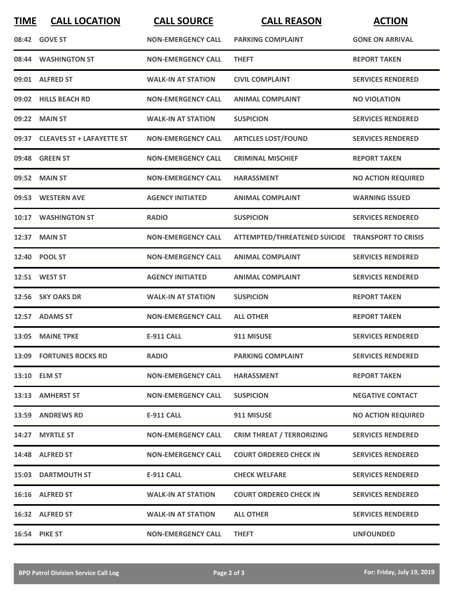| <b>TIME</b> | <b>CALL LOCATION</b>            | <b>CALL SOURCE</b>        | <b>CALL REASON</b>                               | <b>ACTION</b>             |
|-------------|---------------------------------|---------------------------|--------------------------------------------------|---------------------------|
|             | 08:42 GOVE ST                   | <b>NON-EMERGENCY CALL</b> | <b>PARKING COMPLAINT</b>                         | <b>GONE ON ARRIVAL</b>    |
|             | 08:44 WASHINGTON ST             | <b>NON-EMERGENCY CALL</b> | <b>THEFT</b>                                     | <b>REPORT TAKEN</b>       |
|             | 09:01 ALFRED ST                 | <b>WALK-IN AT STATION</b> | <b>CIVIL COMPLAINT</b>                           | <b>SERVICES RENDERED</b>  |
|             | 09:02 HILLS BEACH RD            | <b>NON-EMERGENCY CALL</b> | <b>ANIMAL COMPLAINT</b>                          | <b>NO VIOLATION</b>       |
|             | 09:22 MAIN ST                   | <b>WALK-IN AT STATION</b> | <b>SUSPICION</b>                                 | <b>SERVICES RENDERED</b>  |
|             | 09:37 CLEAVES ST + LAFAYETTE ST | <b>NON-EMERGENCY CALL</b> | <b>ARTICLES LOST/FOUND</b>                       | <b>SERVICES RENDERED</b>  |
|             | 09:48 GREEN ST                  | <b>NON-EMERGENCY CALL</b> | <b>CRIMINAL MISCHIEF</b>                         | <b>REPORT TAKEN</b>       |
|             | 09:52 MAIN ST                   | <b>NON-EMERGENCY CALL</b> | <b>HARASSMENT</b>                                | <b>NO ACTION REQUIRED</b> |
| 09:53       | <b>WESTERN AVE</b>              | <b>AGENCY INITIATED</b>   | <b>ANIMAL COMPLAINT</b>                          | <b>WARNING ISSUED</b>     |
|             | 10:17 WASHINGTON ST             | <b>RADIO</b>              | <b>SUSPICION</b>                                 | <b>SERVICES RENDERED</b>  |
|             | 12:37 MAIN ST                   | <b>NON-EMERGENCY CALL</b> | ATTEMPTED/THREATENED SUICIDE TRANSPORT TO CRISIS |                           |
| 12:40       | <b>POOL ST</b>                  | <b>NON-EMERGENCY CALL</b> | <b>ANIMAL COMPLAINT</b>                          | <b>SERVICES RENDERED</b>  |
|             | 12:51 WEST ST                   | <b>AGENCY INITIATED</b>   | <b>ANIMAL COMPLAINT</b>                          | <b>SERVICES RENDERED</b>  |
|             | 12:56 SKY OAKS DR               | <b>WALK-IN AT STATION</b> | <b>SUSPICION</b>                                 | <b>REPORT TAKEN</b>       |
| 12:57       | <b>ADAMS ST</b>                 | <b>NON-EMERGENCY CALL</b> | <b>ALL OTHER</b>                                 | <b>REPORT TAKEN</b>       |
|             | 13:05 MAINE TPKE                | <b>E-911 CALL</b>         | 911 MISUSE                                       | <b>SERVICES RENDERED</b>  |
|             | 13:09 FORTUNES ROCKS RD         | <b>RADIO</b>              | <b>PARKING COMPLAINT</b>                         | <b>SERVICES RENDERED</b>  |
|             | 13:10 ELM ST                    | <b>NON-EMERGENCY CALL</b> | <b>HARASSMENT</b>                                | <b>REPORT TAKEN</b>       |
|             | 13:13 AMHERST ST                | <b>NON-EMERGENCY CALL</b> | <b>SUSPICION</b>                                 | <b>NEGATIVE CONTACT</b>   |
|             | 13:59 ANDREWS RD                | E-911 CALL                | 911 MISUSE                                       | <b>NO ACTION REQUIRED</b> |
|             | 14:27 MYRTLE ST                 | <b>NON-EMERGENCY CALL</b> | <b>CRIM THREAT / TERRORIZING</b>                 | <b>SERVICES RENDERED</b>  |
|             | 14:48 ALFRED ST                 | <b>NON-EMERGENCY CALL</b> | <b>COURT ORDERED CHECK IN</b>                    | <b>SERVICES RENDERED</b>  |
|             | <b>15:03 DARTMOUTH ST</b>       | E-911 CALL                | <b>CHECK WELFARE</b>                             | <b>SERVICES RENDERED</b>  |
|             | 16:16 ALFRED ST                 | <b>WALK-IN AT STATION</b> | <b>COURT ORDERED CHECK IN</b>                    | <b>SERVICES RENDERED</b>  |
|             | 16:32 ALFRED ST                 | <b>WALK-IN AT STATION</b> | <b>ALL OTHER</b>                                 | <b>SERVICES RENDERED</b>  |
|             | <b>16:54 PIKE ST</b>            | <b>NON-EMERGENCY CALL</b> | <b>THEFT</b>                                     | <b>UNFOUNDED</b>          |